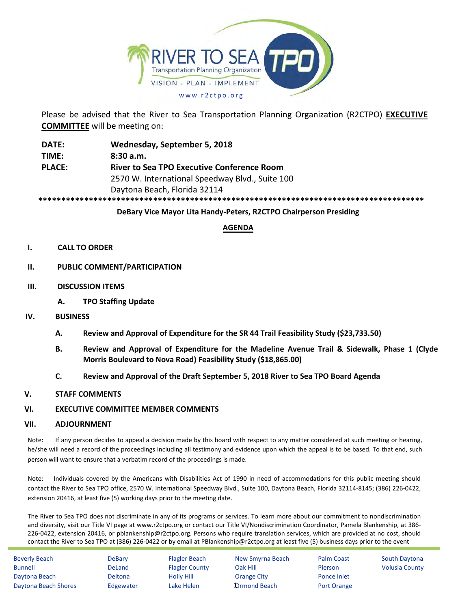

Please be advised that the River to Sea Transportation Planning Organization (R2CTPO) **EXECUTIVE COMMITTEE** will be meeting on:

**DATE: Wednesday, September 5, 2018 TIME: 8:30 a.m. PLACE: River to Sea TPO Executive Conference Room** 2570 W. International Speedway Blvd., Suite 100 Daytona Beach, Florida 32114 **\*\*\*\*\*\*\*\*\*\*\*\*\*\*\*\*\*\*\*\*\*\*\*\*\*\*\*\*\*\*\*\*\*\*\*\*\*\*\*\*\*\*\*\*\*\*\*\*\*\*\*\*\*\*\*\*\*\*\*\*\*\*\*\*\*\*\*\*\*\*\*\*\*\*\*\*\*\*\*\*\*\*\*\***

## **DeBary Vice Mayor Lita Handy-Peters, R2CTPO Chairperson Presiding**

## **AGENDA**

#### **I. CALL TO ORDER**

#### **II. PUBLIC COMMENT/PARTICIPATION**

- **III. DISCUSSION ITEMS**
	- **A. TPO Staffing Update**
- **IV. BUSINESS**
	- **A. Review and Approval of Expenditure for the SR 44 Trail Feasibility Study (\$23,733.50)**
	- **B. Review and Approval of Expenditure for the Madeline Avenue Trail & Sidewalk, Phase 1 (Clyde Morris Boulevard to Nova Road) Feasibility Study (\$18,865.00)**
	- **C. Review and Approval of the Draft September 5, 2018 River to Sea TPO Board Agenda**

#### **V. STAFF COMMENTS**

#### **VI. EXECUTIVE COMMITTEE MEMBER COMMENTS**

#### **VII. ADJOURNMENT**

Note: If any person decides to appeal a decision made by this board with respect to any matter considered at such meeting or hearing, he/she will need a record of the proceedings including all testimony and evidence upon which the appeal is to be based. To that end, such person will want to ensure that a verbatim record of the proceedings is made.

Note: Individuals covered by the Americans with Disabilities Act of 1990 in need of accommodations for this public meeting should contact the River to Sea TPO office, 2570 W. International Speedway Blvd., Suite 100, Daytona Beach, Florida 32114-8145; (386) 226-0422, extension 20416, at least five (5) working days prior to the meeting date.

The River to Sea TPO does not discriminate in any of its programs or services. To learn more about our commitment to nondiscrimination and diversity, visit our Title VI page at www.r2ctpo.org or contact our Title VI/Nondiscrimination Coordinator, Pamela Blankenship, at 386- 226-0422, extension 20416, or pblankenship@r2ctpo.org. Persons who require translation services, which are provided at no cost, should contact the River to Sea TPO at (386) 226-0422 or by email at PBlankenship@r2ctpo.org at least five (5) business days prior to the event

| <b>Beverly Beach</b> | DeBary         | <b>Flagler Beach</b>  | New Smyrna Beach    | Palm Coast     | South Daytona         |
|----------------------|----------------|-----------------------|---------------------|----------------|-----------------------|
| <b>Bunnell</b>       | <b>DeLand</b>  | <b>Flagler County</b> | Oak Hill            | <b>Pierson</b> | <b>Volusia County</b> |
| Daytona Beach        | <b>Deltona</b> | <b>Holly Hill</b>     | <b>Orange City</b>  | Ponce Inlet    |                       |
| Daytona Beach Shores | Edgewater      | Lake Helen            | <b>Drmond Beach</b> | Port Orange    |                       |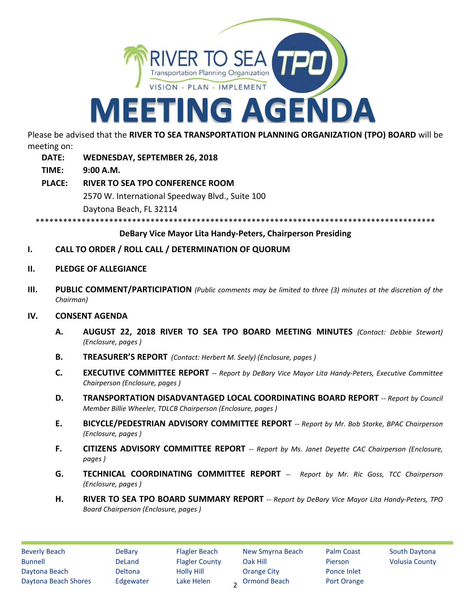

Please be advised that the **RIVER TO SEA TRANSPORTATION PLANNING ORGANIZATION (TPO) BOARD** will be meeting on:

- **DATE: WEDNESDAY, SEPTEMBER 26, 2018**
- **TIME: 9:00 A.M.**
- **PLACE: RIVER TO SEA TPO CONFERENCE ROOM** 2570 W. International Speedway Blvd., Suite 100 Daytona Beach, FL 32114

\*\*\*\*\*\*\*\*\*\*\*\*\*\*\*\*\*\*\*\*\*\*\*\*\*\*\*\*\*

# **DeBary Vice Mayor Lita Handy-Peters, Chairperson Presiding**

- **I. CALL TO ORDER / ROLL CALL / DETERMINATION OF QUORUM**
- **II. PLEDGE OF ALLEGIANCE**
- **III. PUBLIC COMMENT/PARTICIPATION** *(Public comments may be limited to three (3) minutes at the discretion of the Chairman)*

## **IV. CONSENT AGENDA**

- **A. AUGUST 22, 2018 RIVER TO SEA TPO BOARD MEETING MINUTES** *(Contact: Debbie Stewart) (Enclosure, pages )*
- **B. TREASURER'S REPORT** *(Contact: Herbert M. Seely) (Enclosure, pages )*
- **C. EXECUTIVE COMMITTEE REPORT** *-- Report by DeBary Vice Mayor Lita Handy-Peters, Executive Committee Chairperson (Enclosure, pages )*
- **D. TRANSPORTATION DISADVANTAGED LOCAL COORDINATING BOARD REPORT** *-- Report by Council Member Billie Wheeler, TDLCB Chairperson (Enclosure, pages )*
- **E. BICYCLE/PEDESTRIAN ADVISORY COMMITTEE REPORT** *-- Report by Mr. Bob Storke, BPAC Chairperson (Enclosure, pages )*
- **F. CITIZENS ADVISORY COMMITTEE REPORT** *-- Report by Ms. Janet Deyette CAC Chairperson (Enclosure, pages )*
- **G. TECHNICAL COORDINATING COMMITTEE REPORT** *-- Report by Mr. Ric Goss, TCC Chairperson (Enclosure, pages )*
- **H. RIVER TO SEA TPO BOARD SUMMARY REPORT** *-- Report by DeBary Vice Mayor Lita Handy-Peters, TPO Board Chairperson (Enclosure, pages )*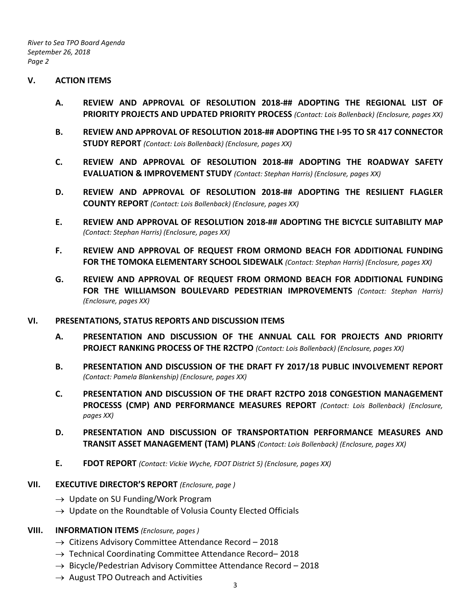*River to Sea TPO Board Agenda September 26, 2018 Page 2*

## **V. ACTION ITEMS**

- **A. REVIEW AND APPROVAL OF RESOLUTION 2018-## ADOPTING THE REGIONAL LIST OF PRIORITY PROJECTS AND UPDATED PRIORITY PROCESS** *(Contact: Lois Bollenback) (Enclosure, pages XX)*
- **B. REVIEW AND APPROVAL OF RESOLUTION 2018-## ADOPTING THE I-95 TO SR 417 CONNECTOR STUDY REPORT** *(Contact: Lois Bollenback) (Enclosure, pages XX)*
- **C. REVIEW AND APPROVAL OF RESOLUTION 2018-## ADOPTING THE ROADWAY SAFETY EVALUATION & IMPROVEMENT STUDY** *(Contact: Stephan Harris) (Enclosure, pages XX)*
- **D. REVIEW AND APPROVAL OF RESOLUTION 2018-## ADOPTING THE RESILIENT FLAGLER COUNTY REPORT** *(Contact: Lois Bollenback) (Enclosure, pages XX)*
- **E. REVIEW AND APPROVAL OF RESOLUTION 2018-## ADOPTING THE BICYCLE SUITABILITY MAP** *(Contact: Stephan Harris) (Enclosure, pages XX)*
- **F. REVIEW AND APPROVAL OF REQUEST FROM ORMOND BEACH FOR ADDITIONAL FUNDING FOR THE TOMOKA ELEMENTARY SCHOOL SIDEWALK** *(Contact: Stephan Harris) (Enclosure, pages XX)*
- **G. REVIEW AND APPROVAL OF REQUEST FROM ORMOND BEACH FOR ADDITIONAL FUNDING FOR THE WILLIAMSON BOULEVARD PEDESTRIAN IMPROVEMENTS** *(Contact: Stephan Harris) (Enclosure, pages XX)*

## **VI. PRESENTATIONS, STATUS REPORTS AND DISCUSSION ITEMS**

- **A. PRESENTATION AND DISCUSSION OF THE ANNUAL CALL FOR PROJECTS AND PRIORITY PROJECT RANKING PROCESS OF THE R2CTPO** *(Contact: Lois Bollenback) (Enclosure, pages XX)*
- **B. PRESENTATION AND DISCUSSION OF THE DRAFT FY 2017/18 PUBLIC INVOLVEMENT REPORT** *(Contact: Pamela Blankenship) (Enclosure, pages XX)*
- **C. PRESENTATION AND DISCUSSION OF THE DRAFT R2CTPO 2018 CONGESTION MANAGEMENT PROCESSS (CMP) AND PERFORMANCE MEASURES REPORT** *(Contact: Lois Bollenback) (Enclosure, pages XX)*
- **D. PRESENTATION AND DISCUSSION OF TRANSPORTATION PERFORMANCE MEASURES AND TRANSIT ASSET MANAGEMENT (TAM) PLANS** *(Contact: Lois Bollenback) (Enclosure, pages XX)*
- **E. FDOT REPORT** *(Contact: Vickie Wyche, FDOT District 5) (Enclosure, pages XX)*

# **VII. EXECUTIVE DIRECTOR'S REPORT** *(Enclosure, page )*

- $\rightarrow$  Update on SU Funding/Work Program
- $\rightarrow$  Update on the Roundtable of Volusia County Elected Officials

## **VIII. INFORMATION ITEMS** *(Enclosure, pages )*

- $\rightarrow$  Citizens Advisory Committee Attendance Record 2018
- $\rightarrow$  Technical Coordinating Committee Attendance Record–2018
- $\rightarrow$  Bicycle/Pedestrian Advisory Committee Attendance Record 2018
- $\rightarrow$  August TPO Outreach and Activities